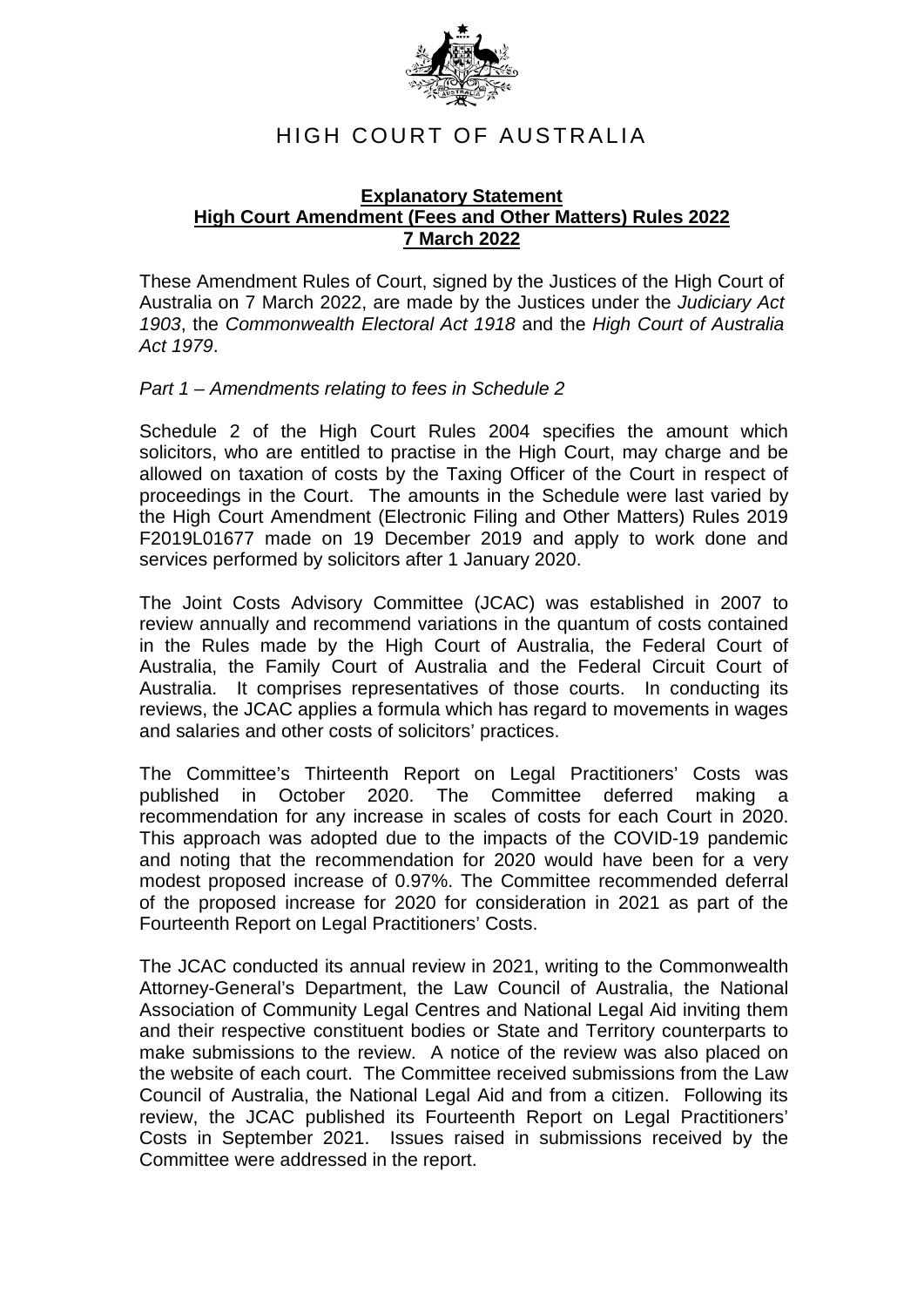

# HIGH COURT OF AUSTRALIA

#### **Explanatory Statement High Court Amendment (Fees and Other Matters) Rules 2022 7 March 2022**

These Amendment Rules of Court, signed by the Justices of the High Court of Australia on 7 March 2022, are made by the Justices under the *Judiciary Act 1903*, the *Commonwealth Electoral Act 1918* and the *High Court of Australia Act 1979*.

### *Part 1 – Amendments relating to fees in Schedule 2*

Schedule 2 of the High Court Rules 2004 specifies the amount which solicitors, who are entitled to practise in the High Court, may charge and be allowed on taxation of costs by the Taxing Officer of the Court in respect of proceedings in the Court. The amounts in the Schedule were last varied by the High Court Amendment (Electronic Filing and Other Matters) Rules 2019 F2019L01677 made on 19 December 2019 and apply to work done and services performed by solicitors after 1 January 2020.

The Joint Costs Advisory Committee (JCAC) was established in 2007 to review annually and recommend variations in the quantum of costs contained in the Rules made by the High Court of Australia, the Federal Court of Australia, the Family Court of Australia and the Federal Circuit Court of Australia. It comprises representatives of those courts. In conducting its reviews, the JCAC applies a formula which has regard to movements in wages and salaries and other costs of solicitors' practices.

The Committee's Thirteenth Report on Legal Practitioners' Costs was published in October 2020. The Committee deferred making a recommendation for any increase in scales of costs for each Court in 2020. This approach was adopted due to the impacts of the COVID-19 pandemic and noting that the recommendation for 2020 would have been for a very modest proposed increase of 0.97%. The Committee recommended deferral of the proposed increase for 2020 for consideration in 2021 as part of the Fourteenth Report on Legal Practitioners' Costs.

The JCAC conducted its annual review in 2021, writing to the Commonwealth Attorney-General's Department, the Law Council of Australia, the National Association of Community Legal Centres and National Legal Aid inviting them and their respective constituent bodies or State and Territory counterparts to make submissions to the review. A notice of the review was also placed on the website of each court. The Committee received submissions from the Law Council of Australia, the National Legal Aid and from a citizen. Following its review, the JCAC published its Fourteenth Report on Legal Practitioners' Costs in September 2021. Issues raised in submissions received by the Committee were addressed in the report.